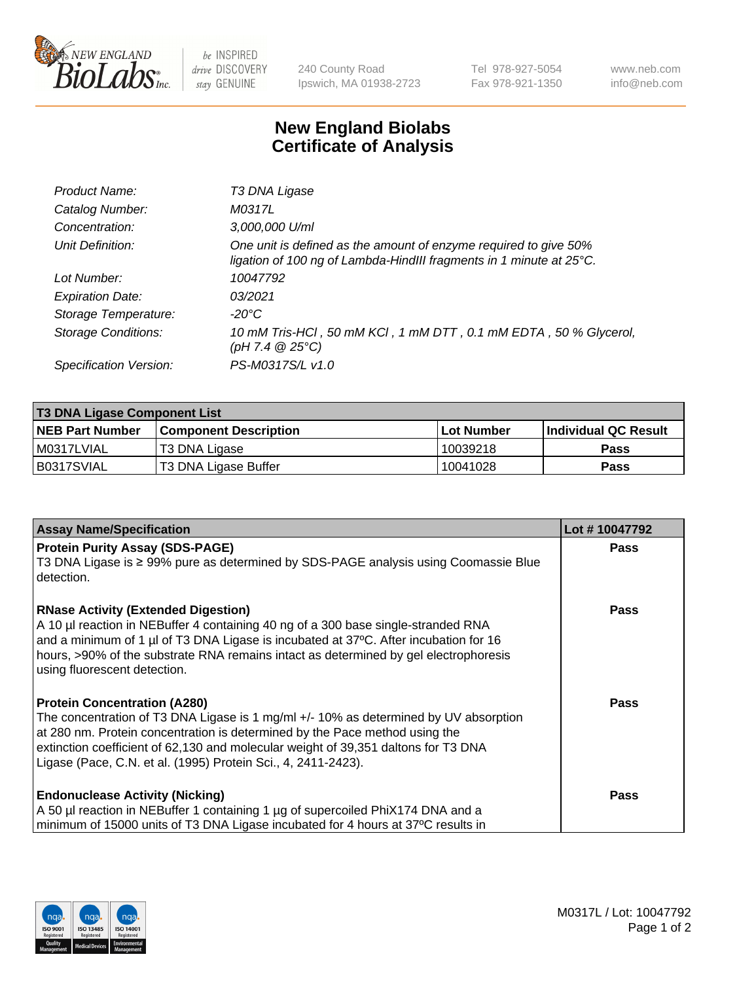

 $be$  INSPIRED drive DISCOVERY stay GENUINE

240 County Road Ipswich, MA 01938-2723 Tel 978-927-5054 Fax 978-921-1350 www.neb.com info@neb.com

## **New England Biolabs Certificate of Analysis**

| Product Name:              | T3 DNA Ligase                                                                                                                           |
|----------------------------|-----------------------------------------------------------------------------------------------------------------------------------------|
| Catalog Number:            | M0317L                                                                                                                                  |
| Concentration:             | 3,000,000 U/ml                                                                                                                          |
| Unit Definition:           | One unit is defined as the amount of enzyme required to give 50%<br>ligation of 100 ng of Lambda-HindIII fragments in 1 minute at 25°C. |
| Lot Number:                | 10047792                                                                                                                                |
| <b>Expiration Date:</b>    | 03/2021                                                                                                                                 |
| Storage Temperature:       | -20°C                                                                                                                                   |
| <b>Storage Conditions:</b> | 10 mM Tris-HCl, 50 mM KCl, 1 mM DTT, 0.1 mM EDTA, 50 % Glycerol,<br>(pH 7.4 $@25°C$ )                                                   |
| Specification Version:     | PS-M0317S/L v1.0                                                                                                                        |

| <b>T3 DNA Ligase Component List</b> |                              |              |                      |  |  |
|-------------------------------------|------------------------------|--------------|----------------------|--|--|
| <b>NEB Part Number</b>              | <b>Component Description</b> | l Lot Number | Individual QC Result |  |  |
| M0317LVIAL                          | T3 DNA Ligase                | 10039218     | <b>Pass</b>          |  |  |
| B0317SVIAL                          | T3 DNA Ligase Buffer         | 10041028     | Pass                 |  |  |

| <b>Assay Name/Specification</b>                                                                                                                                                                                                                                                                                                                                   | Lot #10047792 |
|-------------------------------------------------------------------------------------------------------------------------------------------------------------------------------------------------------------------------------------------------------------------------------------------------------------------------------------------------------------------|---------------|
| <b>Protein Purity Assay (SDS-PAGE)</b><br>T3 DNA Ligase is ≥ 99% pure as determined by SDS-PAGE analysis using Coomassie Blue<br>I detection.                                                                                                                                                                                                                     | <b>Pass</b>   |
| <b>RNase Activity (Extended Digestion)</b><br>A 10 µl reaction in NEBuffer 4 containing 40 ng of a 300 base single-stranded RNA<br>and a minimum of 1 µl of T3 DNA Ligase is incubated at 37°C. After incubation for 16<br>hours, >90% of the substrate RNA remains intact as determined by gel electrophoresis<br>using fluorescent detection.                   | <b>Pass</b>   |
| <b>Protein Concentration (A280)</b><br>The concentration of T3 DNA Ligase is 1 mg/ml +/- 10% as determined by UV absorption<br>at 280 nm. Protein concentration is determined by the Pace method using the<br>extinction coefficient of 62,130 and molecular weight of 39,351 daltons for T3 DNA<br>Ligase (Pace, C.N. et al. (1995) Protein Sci., 4, 2411-2423). | <b>Pass</b>   |
| <b>Endonuclease Activity (Nicking)</b><br>A 50 µl reaction in NEBuffer 1 containing 1 µg of supercoiled PhiX174 DNA and a<br>minimum of 15000 units of T3 DNA Ligase incubated for 4 hours at 37°C results in                                                                                                                                                     | <b>Pass</b>   |